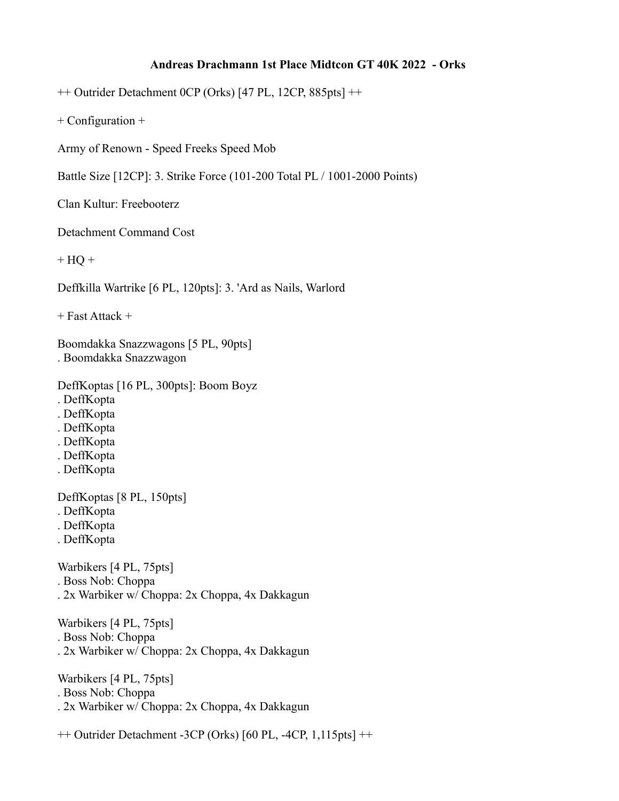## **Andreas Drachmann 1st Place Midtcon GT 40K 2022 - Orks**

++ Outrider Detachment 0CP (Orks) [47 PL, 12CP, 885pts] ++

+ Configuration +

Army of Renown - Speed Freeks Speed Mob

Battle Size [12CP]: 3. Strike Force (101-200 Total PL / 1001-2000 Points)

Clan Kultur: Freebooterz

Detachment Command Cost

 $+ HO +$ 

Deffkilla Wartrike [6 PL, 120pts]: 3. 'Ard as Nails, Warlord

+ Fast Attack +

Boomdakka Snazzwagons [5 PL, 90pts] . Boomdakka Snazzwagon

DeffKoptas [16 PL, 300pts]: Boom Boyz

- . DeffKopta
- . DeffKopta
- . DeffKopta
- . DeffKopta
- . DeffKopta
- . DeffKopta

DeffKoptas [8 PL, 150pts]

- . DeffKopta
- . DeffKopta
- . DeffKopta

Warbikers [4 PL, 75pts] . Boss Nob: Choppa . 2x Warbiker w/ Choppa: 2x Choppa, 4x Dakkagun

Warbikers [4 PL, 75pts]

- . Boss Nob: Choppa
- . 2x Warbiker w/ Choppa: 2x Choppa, 4x Dakkagun

Warbikers [4 PL, 75pts] . Boss Nob: Choppa . 2x Warbiker w/ Choppa: 2x Choppa, 4x Dakkagun

++ Outrider Detachment -3CP (Orks) [60 PL, -4CP, 1,115pts] ++